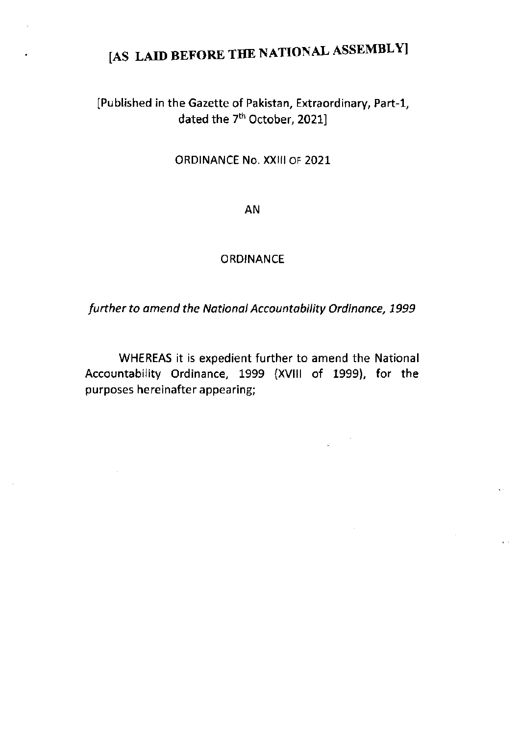# [AS LAID BEFORE THE NATIONAL ASSEMBLY]

## IPublished in the Gazette of Pakistan, Extraordinary, Part-1, dated the 7<sup>th</sup> October, 2021]

### ORDINANCE No. XXlll oF 2021

AN

#### **ORDINANCE**

further to amend the National Accountability Ordinance, 1999

WHEREAS it is expedient further to amend the National Accountability Ordinance, 1999 (XVlll of 1999), for the purposes hereinafter appearing;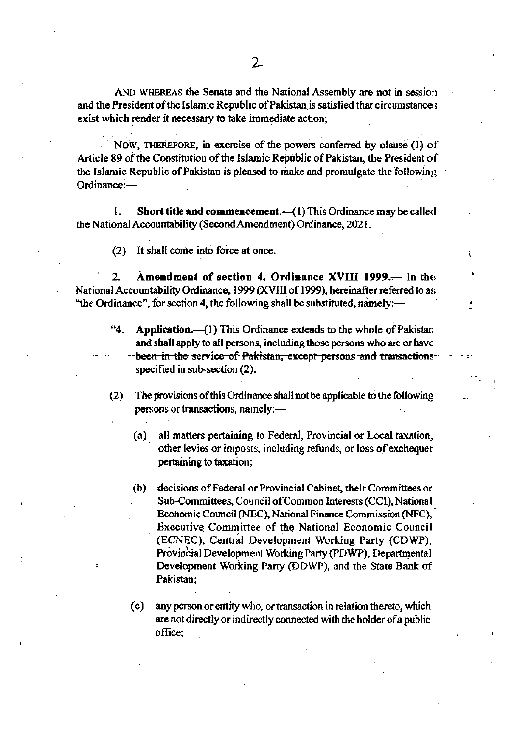AND WHEREAS the Senate and the National Assembly are not in session and the President of the Islamic Republic of Pakistan is satisfied that circumstance s exist which render it necessary to take immediate action;

NOW, THEREFORE, in exercise of the powers conferred by clause (1) of Article 89 of the Constitution of the Islamic Republic of Pakistan, the President of the Islamic Republic of Pakistan is pleased to make and promulgate the following Ordinance:-

Short title and commencement. $-(1)$  This Ordinance may be called ŧ. the National Accountability (Second Amendment) Ordinance, 2021.

(2) It shall come into force at once.

Amendment of section 4, Ordinance XVIII 1999.— In the  $\overline{2}$ National Accountability Ordinance, 1999 (XVIII of 1999), hereinafter referred to as "the Ordinance", for section 4, the following shall be substituted, namely:-

- $a_4$ Application.—(1) This Ordinance extends to the whole of Pakistan and shall apply to all persons, including those persons who are or have been in the service of Pakistan, except persons and transactions specified in sub-section (2).
- (2) The provisions of this Ordinance shall not be applicable to the following persons or transactions, namely:
	- all matters pertaining to Federal, Provincial or Local taxation,  $(a)$ other levies or imposts, including refunds, or loss of exchequer pertaining to taxation;
	- decisions of Federal or Provincial Cabinet, their Committees or  $(b)$ Sub-Committees, Council of Common Interests (CCI), National Economic Council (NEC), National Finance Commission (NFC), Executive Committee of the National Economic Council (ECNEC), Central Development Working Party (CDWP), Provincial Development Working Party (PDWP), Departmental Development Working Party (DDWP), and the State Bank of Pakistan:
	- any person or entity who, or transaction in relation thereto, which  $(c)$ are not directly or indirectly connected with the holder of a public office: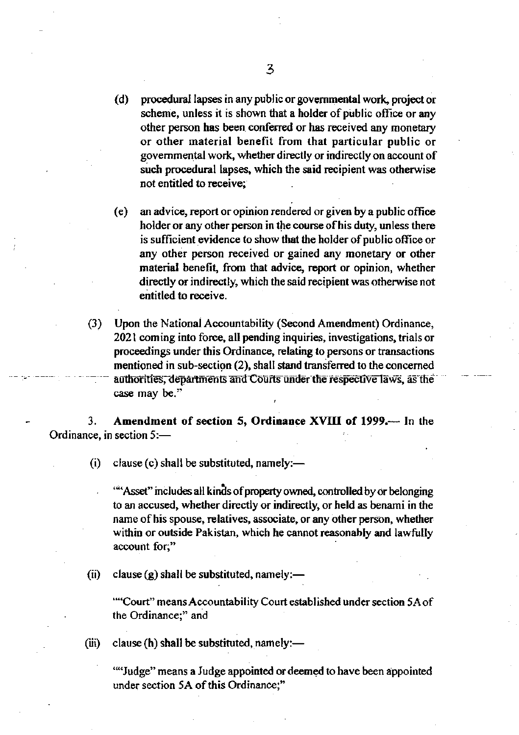- $(d)$ procedural lapses in any public or governmental work, project or scheme, unless it is shown that a holder of public office or any other person has been conferred or has received any monetary or other material benefit from that particular public or governmental work, whether directly or indirectly on account of such procedural lapses, which the said recipient was otherwise not entitled to receive:
- an advice, report or opinion rendered or given by a public office  $(e)$ holder or any other person in the course of his duty, unless there is sufficient evidence to show that the holder of public office or any other person received or gained any monetary or other material benefit, from that advice, report or opinion, whether directly or indirectly, which the said recipient was otherwise not entitled to receive.
- $(3)$ Upon the National Accountability (Second Amendment) Ordinance, 2021 coming into force, all pending inquiries, investigations, trials or proceedings under this Ordinance, relating to persons or transactions mentioned in sub-section (2), shall stand transferred to the concerned authorities, departments and Courts under the respective laws, as the case may be."

Amendment of section 5, Ordinance XVIII of 1999.— In the 3. Ordinance, in section 5:-

> clause  $(c)$  shall be substituted, namely:— (i)

""Asset" includes all kinds of property owned, controlled by or belonging to an accused, whether directly or indirectly, or held as benami in the name of his spouse, relatives, associate, or any other person, whether within or outside Pakistan, which he cannot reasonably and lawfully account for,"

 $(ii)$ clause  $(g)$  shall be substituted, namely:—

> ""Court" means Accountability Court established under section 5A of the Ordinance;" and

 $(iii)$ clause (h) shall be substituted, namely:-

> "Judge" means a Judge appointed or deemed to have been appointed under section 5A of this Ordinance;"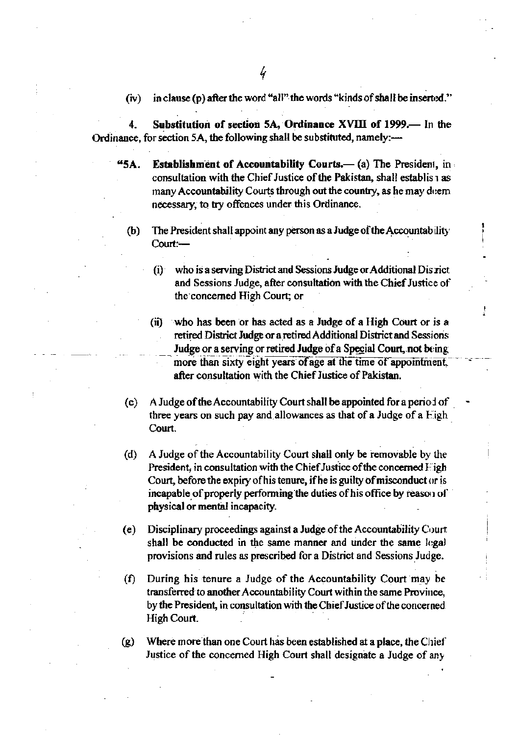$(iv)$ in clause (p) after the word "all" the words "kinds of shall be inserted."

Substitution of section 5A, Ordinance XVIII of 1999.— In the 4. Ordinance, for section 5A, the following shall be substituted, namely:-

- "5A. **Establishment of Accountability Courts.— (a) The President, in**  $\cdot$ consultation with the Chief Justice of the Pakistan, shall establis as many Accountability Courts through out the country, as he may deem necessary, to try offences under this Ordinance.
	- The President shall appoint any person as a Judge of the Accountability  $(b)$ Court:
		- who is a serving District and Sessions Judge or Additional Disrict  $(i)$ and Sessions Judge, after consultation with the Chief Justice of the concerned High Court; or
		- who has been or has acted as a Judge of a High Court or is a  $(ii)$ retired District Judge or a retired Additional District and Sessions Judge or a serving or retired Judge of a Special Court, not being more than sixty eight years of age at the time of appointment. after consultation with the Chief Justice of Pakistan.
	- A Judge of the Accountability Court shall be appointed for a period of  $(c)$ three years on such pay and allowances as that of a Judge of a  $Eigh$ Court.
	- A Judge of the Accountability Court shall only be removable by the  $(d)$ President, in consultation with the Chief Justice of the concerned Figh Court, before the expiry of his tenure, if he is guilty of misconduct or is incapable of properly performing the duties of his office by reason of physical or mental incapacity.
	- Disciplinary proceedings against a Judge of the Accountability Court (e) shall be conducted in the same manner and under the same legal provisions and rules as prescribed for a District and Sessions Judge.
	- During his tenure a Judge of the Accountability Court may be  $(f)$ transferred to another Accountability Court within the same Province, by the President, in consultation with the Chief Justice of the concerned High Court.

Where more than one Court has been established at a place, the Chief  $(g)$ Justice of the concerned High Court shall designate a Judge of any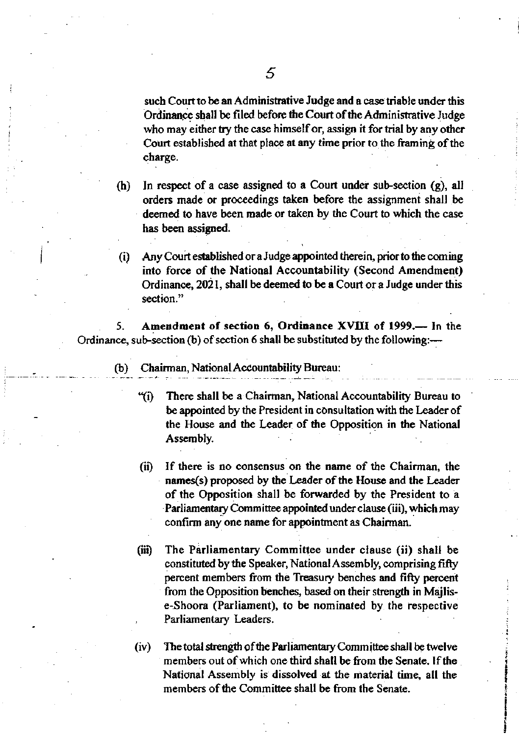such Court to be an Administrative Judge and a case triable under this Ordinance shall be filed before the Court of the Administrative Judge who may either try the case himself or, assign it for trial by any other Court established at that place at any time prior to the framing of the charge.

- (h) In respect of a case assigned to a Court under sub-section  $(g)$ , all orders made or proceedings taken before the assignment shall be deemed to have been made or taken by the Court to which the case has been assigned.
- (i) Any Court established or a Judge appointed therein, prior to the coming into force of the National Accountability (Second Amendment) Ordinance,  $2021$ , shall be deemed to be a Court or a Judge under this section."

5. Amendment of section 6, Ordinance XVIII of 1999.-- In the Ordinance, sub-section (b) of section 6 shall be substituted by the following:---

- (b) Chairman, National Accountability Bureau:
	- {i) There shall be a Chairman, National Accountability Burcau !o be appointed by the President in consultation with the Leader of the House and the Leader of the Opposition in the National Assembly.
	- (ii) If there is no consensus on the name of the Chairman, the names(s) proposed by the Leader of the House and the Leader of the Opposition shall be forwarded by the President to a Parliamentary Committee appointed under clause (iii), which may confirm any one name for appointnent as Chairman.
	- (iii) The Parliamentary Committee under clause (ii) shall be constituted by the Speaker, National Assembly, comprising fifty percent members from the Treasury benches and fifty percent from the Opposition benches, based on their strength in Majlise-Shoora (Parliament), to be nominated by the respective Parliamentary Leaders.
	- $(iv)$  The total strength of the Parliamentary Committee shall be twelve members out of which one third shall be from the Senate. If the National Assembly is dissolved at the material time, all the members of the Committee shall be from the Senate.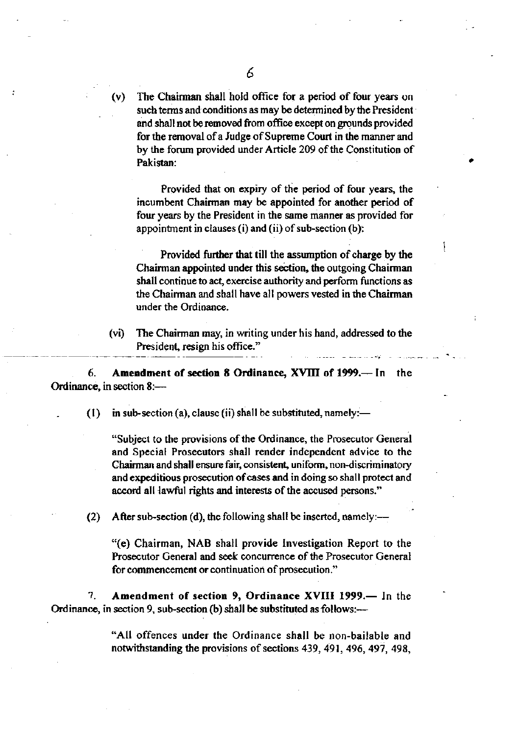The Chairman shall hold office for a period of four years on (v) such terms and conditions as may be determined by the President and shall not be removed from office except on grounds provided for the removal of a Judge of Supreme Court in the manner and by the forum provided under Article 209 of the Constitution of Pakistan:

Provided that on expiry of the period of four years, the incumbent Chairman may be appointed for another period of four years by the President in the same manner as provided for appointment in clauses (i) and (ii) of sub-section (b):

Provided further that till the assumption of charge by the Chairman appointed under this section, the outgoing Chairman shall continue to act, exercise authority and perform functions as the Chairman and shall have all powers vested in the Chairman under the Ordinance.

The Chairman may, in writing under his hand, addressed to the  $(v<sub>i</sub>)$ President, resign his office."

6. Amendment of section 8 Ordinance, XVIII of 1999.— In the Ordinance, in section 8:-

> in sub-section (a), clause (ii) shall be substituted, namely:—  $(1)$

"Subject to the provisions of the Ordinance, the Prosecutor General and Special Prosecutors shall render independent advice to the Chairman and shall ensure fair, consistent, uniform, non-discriminatory and expeditious prosecution of cases and in doing so shall protect and accord all lawful rights and interests of the accused persons."

After sub-section (d), the following shall be inserted, namely:—  $(2)$ 

"(e) Chairman, NAB shall provide Investigation Report to the Prosecutor General and seek concurrence of the Prosecutor General for commencement or continuation of prosecution."

Amendment of section 9, Ordinance XVIII 1999.- In the 7. Ordinance, in section 9, sub-section (b) shall be substituted as follows:-

> "All offences under the Ordinance shall be non-bailable and notwithstanding the provisions of sections 439, 491, 496, 497, 498,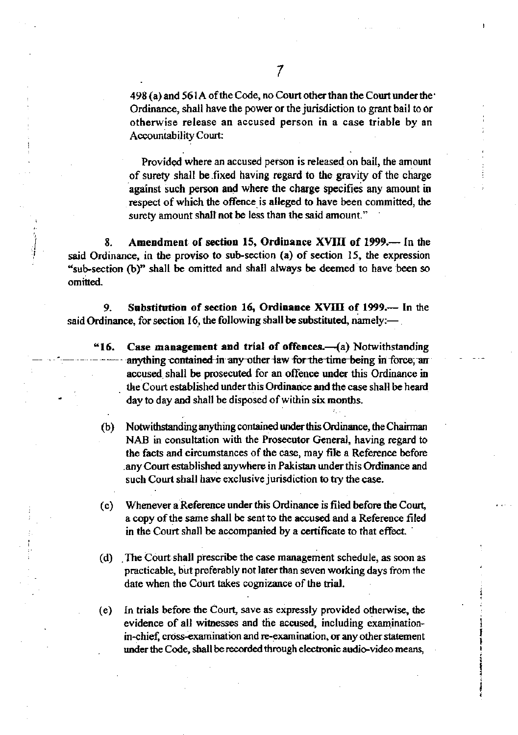498 (a) and 561A of the Code, no Court other than the Court under the Ordinance, shall have the power or the jurisdiction to grant bail to or otherwise release an accused person in a case triable by an **Accountability Court:** 

Provided where an accused person is released on bail, the amount of surety shall be fixed having regard to the gravity of the charge against such person and where the charge specifies any amount in respect of which the offence is alleged to have been committed, the surety amount shall not be less than the said amount."

Amendment of section 15, Ordinance XVIII of 1999.— In the 8. said Ordinance, in the proviso to sub-section (a) of section 15, the expression "sub-section (b)" shall be omitted and shall always be deemed to have been so omitted.

Substitution of section 16, Ordinance XVIII of 1999.— In the 9. said Ordinance, for section 16, the following shall be substituted, namely: $-$ .

- Case management and trial of offences.-(a) Notwithstanding "16. anything contained in any other law for the time being in force, an accused shall be prosecuted for an offence under this Ordinance in the Court established under this Ordinance and the case shall be heard day to day and shall be disposed of within six months.
	- Notwithstanding anything contained under this Ordinance, the Chairman  $(b)$ NAB in consultation with the Prosecutor General, having regard to the facts and circumstances of the case, may file a Reference before any Court established anywhere in Pakistan under this Ordinance and such Court shall have exclusive jurisdiction to try the case.
	- $(c)$ Whenever a Reference under this Ordinance is filed before the Court. a copy of the same shall be sent to the accused and a Reference filed in the Court shall be accompanied by a certificate to that effect.
	- (d) The Court shall prescribe the case management schedule, as soon as practicable, but preferably not later than seven working days from the date when the Court takes cognizance of the trial.
- In trials before the Court, save as expressly provided otherwise, the  $(e)$ evidence of all witnesses and the accused, including examinationin-chief, cross-examination and re-examination, or any other statement under the Code, shall be recorded through electronic audio-video means,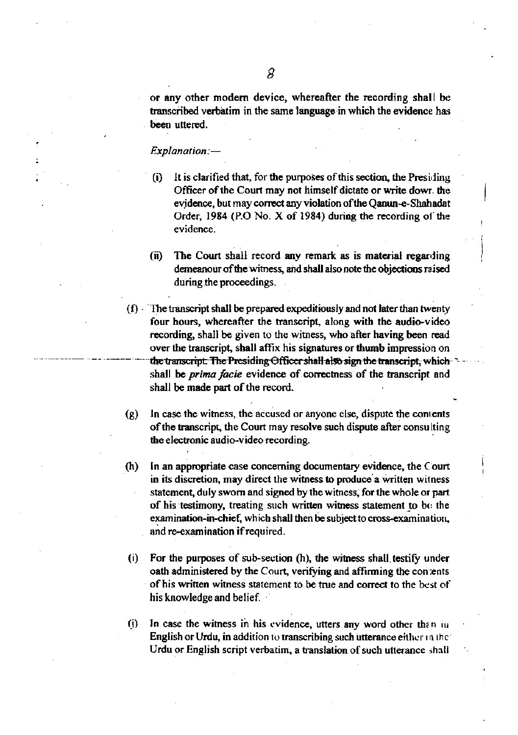or any other modern device, whereafter the recording shall be transcribed verbatim in the same language in which the evidence has been uttered.

#### Explanation:-

- It is clarified that, for the purposes of this section, the Presiding  $(i)$ Officer of the Court may not himself dictate or write down the evidence, but may correct any violation of the Qanun-e-Shahadat Order, 1984 (P.O. No.  $X$  of 1984) during the recording of the evidence.
- $(ii)$ The Court shall record any remark as is material regarding demeanour of the witness, and shall also note the objections raised during the proceedings.
- $(f)$ . The transcript shall be prepared expeditionsly and not later than twenty four hours, whereafter the transcript, along with the audio-video recording, shall be given to the witness, who after having been read over the transcript, shall affix his signatures or thumb impression on the transcript. The Presiding Officer shall also sign the transcript, which shall be prima facie evidence of correctness of the transcript and shall be made part of the record.
- $(g)$ In case the witness, the accused or anyone else, dispute the contents of the transcript, the Court may resolve such dispute after consulting the electronic audio-video recording.
- $(h)$ In an appropriate case concerning documentary evidence, the Court in its discretion, may direct the witness to produce a written witness statement, duly sworn and signed by the witness, for the whole or part of his testimony, treating such written witness statement to be the examination-in-chief, which shall then be subject to cross-examination, and re-examination if required.
- For the purposes of sub-section (h), the witness shall testify under  $(i)$ oath administered by the Court, verifying and affirming the contents of his written witness statement to be true and correct to the best of his knowledge and belief.
- In case the witness in his evidence, utters any word other than in  $(i)$ English or Urdu, in addition to transcribing such utterance either in the Urdu or English script verbatim, a translation of such utterance shall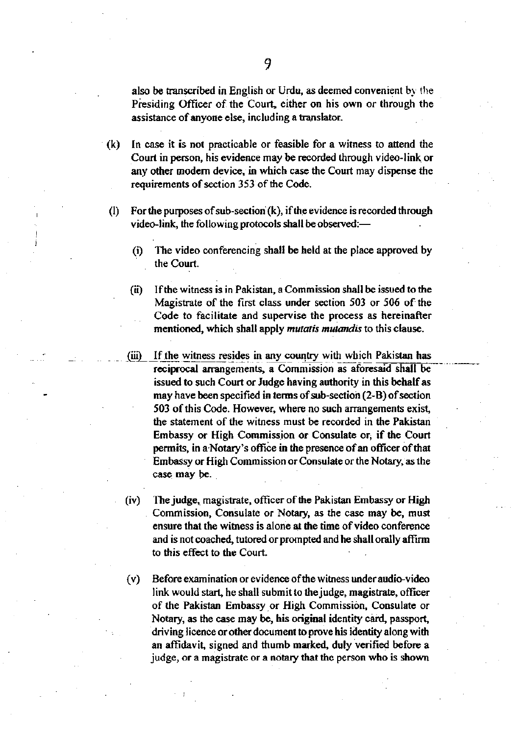also be transcribed in English or Urdu, as deemed convenient by the Presiding Officer of the Court, either on his own or through the assistance of anyone else, including a translator.

- In case it is not practicable or feasible for a witness to attend the  $(k)$ Court in person, his evidence may be recorded through video-link or any other modern device, in which case the Court may dispense the requirements of section 353 of the Code.
- For the purposes of sub-section  $(k)$ , if the evidence is recorded through  $(1)$ video-link, the following protocols shall be observed:-
	- The video conferencing shall be held at the place approved by  $(i)$ the Court.
	- If the witness is in Pakistan, a Commission shall be issued to the  $(ii)$ Magistrate of the first class under section 503 or 506 of the Code to facilitate and supervise the process as hereinafter mentioned, which shall apply *mutatis mutandis* to this clause.
	- $(iii)$ If the witness resides in any country with which Pakistan has reciprocal arrangements, a Commission as aforesaid shall be issued to such Court or Judge having authority in this behalf as may have been specified in terms of sub-section (2-B) of section 503 of this Code. However, where no such arrangements exist, the statement of the witness must be recorded in the Pakistan Embassy or High Commission or Consulate or, if the Court permits, in a Notary's office in the presence of an officer of that Embassy or High Commission or Consulate or the Notary, as the case may be.
	- The judge, magistrate, officer of the Pakistan Embassy or High  $(iv)$ Commission, Consulate or Notary, as the case may be, must ensure that the witness is alone at the time of video conference and is not coached, tutored or prompted and he shall orally affirm to this effect to the Court.
	- $(v)$ Before examination or evidence of the witness under audio-video link would start, he shall submit to the judge, magistrate, officer of the Pakistan Embassy or High Commission, Consulate or Notary, as the case may be, his original identity card, passport, driving licence or other document to prove his identity along with an affidavit, signed and thumb marked, duly verified before a judge, or a magistrate or a notary that the person who is shown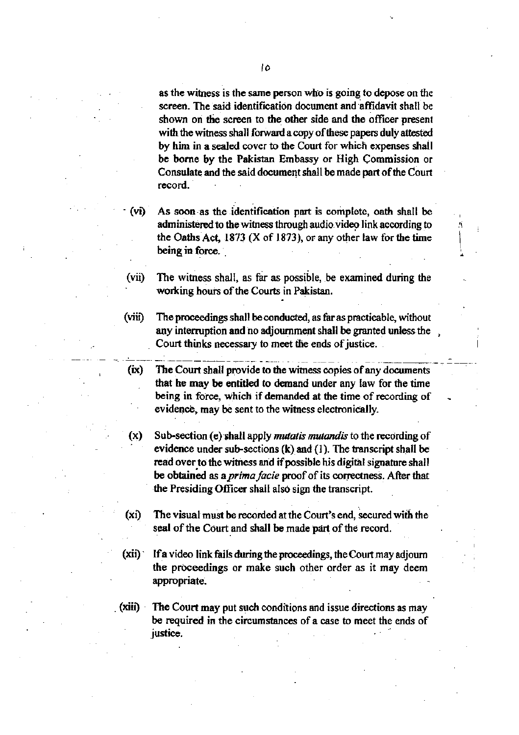as the witness is the same person who is going to depose on the screen. The said identification document and affidavit shall be shown on the screen to the other side and the officer present with the witness shall forward a copy of these papers duly attested by him in a sealed cover to the Court for which expenses shall be borne by the Pakistan Embassy or High Commission or Consulate and the said document shall be made part of the Court record.

As soon as the identification part is complete, oath shall be (vi) administered to the witness through audio video link according to the Oaths Act, 1873  $(X \text{ of } 1873)$ , or any other law for the time being in force.

 $(vii)$ The witness shall, as far as possible, be examined during the working hours of the Courts in Pakistan.

 $(vii)$ The proceedings shall be conducted, as far as practicable, without any interruption and no adjournment shall be granted unless the Court thinks necessary to meet the ends of justice.

(ix) The Court shall provide to the witness copies of any documents that he may be entitled to demand under any law for the time being in force, which if demanded at the time of recording of evidence, may be sent to the witness electronically.

Sub-section (e) shall apply *mutatis mutandis* to the recording of (x) evidence under sub-sections  $(k)$  and  $(1)$ . The transcript shall be read over to the witness and if possible his digital signature shall be obtained as a *prima facie* proof of its correctness. After that the Presiding Officer shall also sign the transcript.

The visual must be recorded at the Court's end, secured with the (xi) seal of the Court and shall be made part of the record.

- $(ix)$ If a video link fails during the proceedings, the Court may adjourn the proceedings or make such other order as it may deem appropriate.
- The Court may put such conditions and issue directions as may (xiii) be required in the circumstances of a case to meet the ends of justice.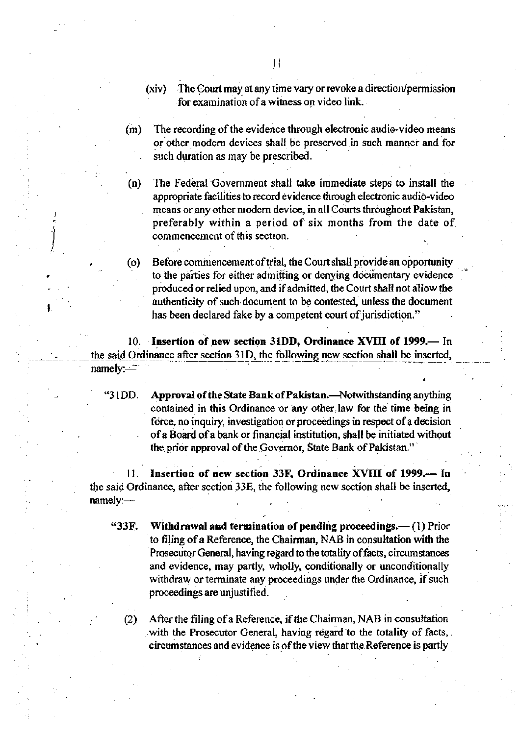- The Court may at any time vary or revoke a direction/permission  $(xiv)$ for examination of a witness on video link.
- The recording of the evidence through electronic audio-video means  $(m)$ or other modern devices shall be preserved in such manner and for such duration as may be prescribed.

 $(n)$ The Federal Government shall take immediate steps to install the appropriate facilities to record evidence through electronic audio-video means or any other modern device, in all Courts throughout Pakistan, preferably within a period of six months from the date of commencement of this section.

Before commencement of trial, the Court shall provide an opportunity  $(0)$ to the parties for either admitting or denying documentary evidence produced or relied upon, and if admitted, the Court shall not allow the authenticity of such document to be contested, unless the document has been declared fake by a competent court of jurisdiction."

10. Insertion of new section 31DD, Ordinance XVIII of 1999.— In the said Ordinance after section 31D, the following new section shall be inserted, namely: $-$ 

"31DD.

Approval of the State Bank of Pakistan.—Notwithstanding anything contained in this Ordinance or any other law for the time being in force, no inquiry, investigation or proceedings in respect of a decision of a Board of a bank or financial institution, shall be initiated without the prior approval of the Governor, State Bank of Pakistan."

Insertion of new section 33F, Ordinance XVIII of 1999.— In  $11.$ the said Ordinance, after section 33E, the following new section shall be inserted, namely:-

- Withdrawal and termination of pending proceedings.—(1) Prior "33F. to filing of a Reference, the Chairman, NAB in consultation with the Prosecutor General, having regard to the totality of facts, circumstances and evidence, may partly, wholly, conditionally or unconditionally withdraw or terminate any proceedings under the Ordinance, if such proceedings are unjustified.
	- After the filing of a Reference, if the Chairman, NAB in consultation  $(2)$ with the Prosecutor General, having regard to the totality of facts, circumstances and evidence is of the view that the Reference is partly